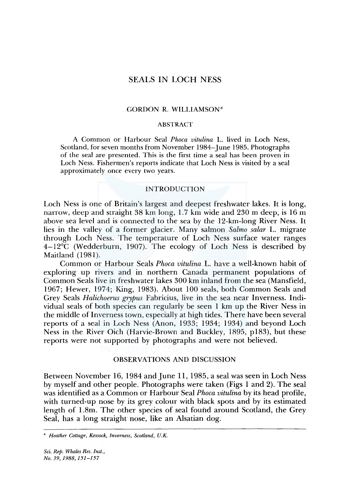# SEALS IN LOCH NESS

# GORDON R. WILLIAMSON\*

# ABSTRACT

A Common or Harbour Seal *Phoca vitulina* L. lived in Loch Ness, Scotland, for seven months from November 1984-June 1985. Photographs of the seal are presented. This is the first time a seal has been proven in Loch Ness. Fishermen's reports indicate that Loch Ness is visited by a seal approximately once every two years.

## INTRODUCTION

Loch Ness is one of Britain's largest and deepest freshwater lakes. It is long, narrow, deep and straight 38 km long, 1.7 km wide and 230 m deep, is 16 m above sea level and is connected to the sea by the 12-km-long River Ness. It lies in the valley of a former glacier. Many salmon *Salmo salar* L. migrate through Loch Ness. The temperature of Loch Ness surface water ranges 4-12°C (Wedderburn, 1907). The ecology of Loch Ness is described by Maitland (1981).

Common or Harbour Seals *Phoca vitulina* L. have a well-known habit of exploring up rivers and in northern Canada permanent populations of Common Seals live in freshwater lakes 300 km inland from the sea (Mansfield, 1967; Hewer, 1974; King, 1983). About 100 seals, both Common Seals and Grey Seals *Halichoerus grypus* Fabricius, live in the sea near Inverness. Individual seals of both species can regularly be seen I km up the River Ness in the middle of Inverness town, especially at high tides. There have been several reports of a seal in Loch Ness (Anon, 1933; 1934; 1934) and beyond Loch Ness in the River Oich (Harvie-Brown and Buckley, 1895, pl83), but these reports were not supported by photographs and were not believed.

# OBSERVATIONS AND DISCUSSION

Between November 16, 1984 and June 11, 1985, a seal was seen in Loch Ness by myself and other people. Photographs were taken (Figs I and 2). The seal was identified as a Common or Harbour Seal *Phoca vitulina* by its head profile, with turned-up nose by its grey colour with black spots and by its estimated length of I .Sm. The other species of seal found around Scotland, the Grey Seal, has a long straight nose, like an Alsatian dog.

*Sci. Rep. Whales Res. Inst., No. 39, 1988, 151-157* 

<sup>\*</sup> *Heather Cottage, Kessock, Inverness, Scotland, U.K.*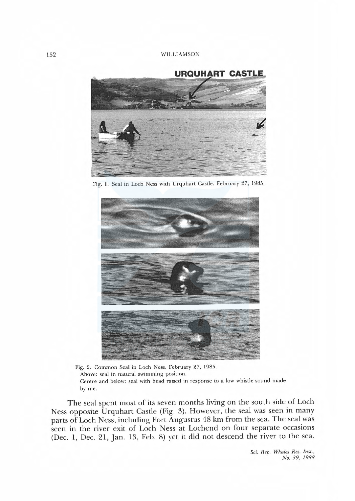

Fig. I. Seal in Loch Ness with Urquhart Castle. February 27, 1985.



Fig. 2. Common Seal in Loch Ness. February 27, 1985. Above: seal in natural swimming position. Centre and below: seal with head raised in response to a low whistle sound made by me.

The seal spent most of its seven months living on the south side of Loch Ness opposite Urquhart Castle (Fig. 3). However, the seal was seen in many parts of Loch Ness, including Fort Augustus 48 km from the sea. The seal was seen in the river exit of Loch Ness at Lochend on four separate occasions (Dec. I, Dec. 21, Jan. 13, Feb. 8) yet it did not descend the river to the sea.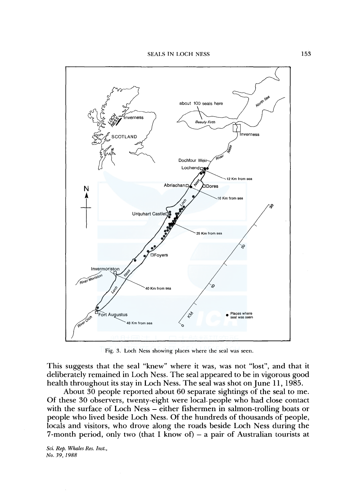

Fig. 3. Loch Ness showing places where the seal was seen.

This suggests that the seal "knew" where it was, was not "lost", and that it deliberately remained in Loch Ness. The seal appeared to be in vigorous good health throughout its stay in Loch Ness. The seal was shot on June 11, 1985.

About 30 people reported about 60 separate sightings of the seal to me. Of these 30 observers, twenty-eight were local. people who had close contact with the surface of Loch Ness – either fishermen in salmon-trolling boats or people who lived beside Loch Ness. Of the hundreds of thousands of people, locals and visitors, who drove along the roads beside Loch Ness during the 7-month period, only two (that I know of) – a pair of Australian tourists at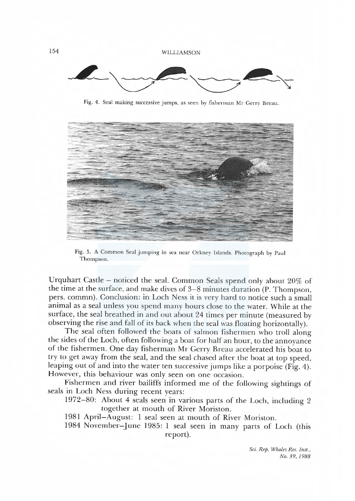154 WILLIAMSON



Fig. 4. Seal making successive jumps, as seen by fisherman Mr Gerry Breau.



Fig. 5. A Common Seal jumping in sea near Orkney Islands. Photograph by Paul Thompson.

Urquhart Castle - noticed the seal. Common Seals spend only about 20% of the time at the surface, and make dives of 3-8 minutes duration (P. Thompson, pers. commn). Conclusion: in Loch Ness it is very hard to notice such a smal animal as a seal unless you spend many hours close to the water. While at the surface, the seal breathed in and out about 24 times per minute (measured by observing the rise and fall of its back when the seal was floating horizontally).

The seal often followed the boats of salmon fishermen who troll along the sides of the Loch, often folowing a boat for half an hour, to the annoyance of the fishermen. One day fisherman Mr Gerry Breau accelerated his boat to try to get away from the seal, and the seal chased after the boat at top speed, leaping out of and into the water ten successive jumps like a porpoise (Fig. 4). However, this behaviour was only seen on one occasion.

Fishermen and river bailiffs informed me of the folowing sightings of seals in Loch Ness during recent years:

1972-80: About 4 seals seen in various parts of the Loch, including 2 together at mouth of River Moriston.

1981 April-August: I seal seen at mouth of River Moriston.

1984 November-] une 1985: I seal seen in many parts of Loch (this report).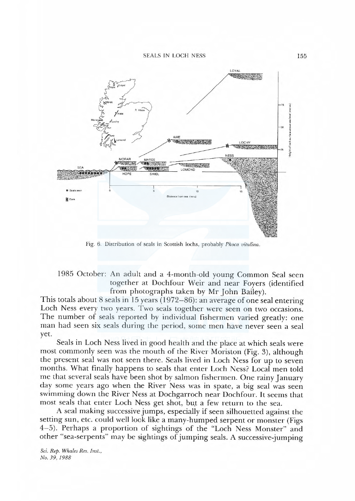#### SEALS IN LOCH NESS 155



Fig. 6. Distribution of seals in Scottish lochs, probably Phoca vitulina.

# 1985 October: An adult and a 4-month-old young Common Seal seen together at Dochfour Weir and near Foyers (identified from photographs taken by Mr John Bailey).

This totals about 8 seals in 15 years (1972–86): an average of one seal entering Loch Ness every two years. Two seals together were seen on two occasions. The number of seals reported by individual fishermen varied greatly: one man had seen six seals during the period, some men have never seen a seal yet.

Seals in Loch Ness lived in good health and the place at which seals were most commonly seen was the mouth of the River Moriston (Fig. 3), although the present seal was not seen there. Seals lived in Loch Ness for up to seven months. What finaly happens to seals that enter Loch Ness? Local men told me that several seals have been shot by salmon fishermen. One rainy January day some years ago when the River Ness was in spate, a big seal was seen swimming down the River Ness at Dochgarroch near Dochfour. It seems that most seals that enter Loch Ness get shot, but a few return to the sea.

A seal making successive jumps, especially if seen silhouetted against the setting sun, etc. could well look like a many-humped serpent or monster (Figs 4-5). Perhaps a proportion of sightings of the "Loch Ness Monster" and other "sea-serpents" may be sightings of jumping seals. A successive-jumping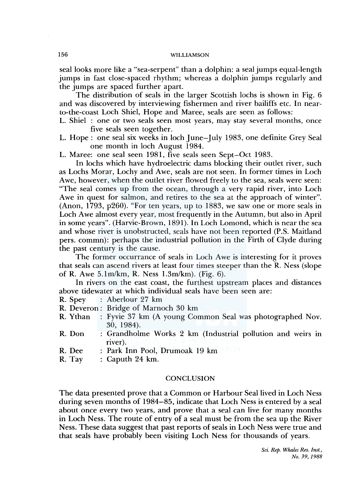# 156 WILLIAMSON

seal looks more like a "sea-serpent" than a dolphin: a seal jumps equal-length jumps in fast close-spaced rhythm; whereas a dolphin jumps regularly and the jumps are spaced further apart.

The distribution of seals in the larger Scottish lochs is shown in Fig. 6 and was discovered by interviewing fishermen and river bailiffs etc. In nearto-the-coast Loch Shiel, Hope and Maree, seals are seen as follows:

L. Shiel : one or two seals seen most years, may stay several months, once five seals seen together.

L. Hope : one seal six weeks in loch June-July 1983, one definite Grey Seal one month in loch August 1984.

L. Maree: one seal seen 1981, five seals seen Sept-Oct 1983.

In lochs which have hydroelectric dams blocking their outlet river, such as Lochs Morar, Lochy and Awe, seals are not seen. In former times in Loch Awe, however, when the outlet river flowed freely to the sea, seals were seen: "The seal comes up from the ocean, through a very rapid river, into Loch Awe in quest for salmon, and retires to the sea at the approach of winter". (Anon, 1793, p260). "For ten years, up to 1883, we saw one or more seals in Loch Awe almost every year, most frequently in the Autumn, but also in April in some years". (Harvie-Brown, 1891). In Loch Lomond, which is near the sea and whose river is unobstructed, seals have not been reported (P.S. Maitland pers. commn): perhaps the industrial pollution in the Firth of Clyde during the past century is the cause.

The former occurrance of seals in Loch Awe is interesting for it proves that seals can ascend rivers at least four times steeper than the R. Ness (slope of R. Awe 5. lm/km, R. Ness l.3m/km). (Fig. 6).

In rivers on the east coast, the furthest upstream places and distances above tidewater at which individual seals have been seen are:

R. Spey : Aberlour 27 km

R. Deveron : Bridge of Marnoch 30 km

- R. Ythan : Fyvie 37 km (A young Common Seal was photographed Nov. 30, 1984).
- R. Don Grandholme Works 2 km (Industrial pollution and weirs in river).
- R. Dee Park Inn Pool, Drumoak 19 km
- R. Tay Caputh 24 km.

## **CONCLUSION**

The data presented prove that a Common or Harbour Seal lived in Loch Ness during seven months of 1984-85, indicate that Loch Ness is entered by a seal about once every two years, and prove that a seal can live for many months in Loch Ness. The route of entry of a seal must be from the sea up the River Ness. These data suggest that past reports of seals in Loch Ness were true and that seals have probably been visiting Loch Ness for thousands of years.